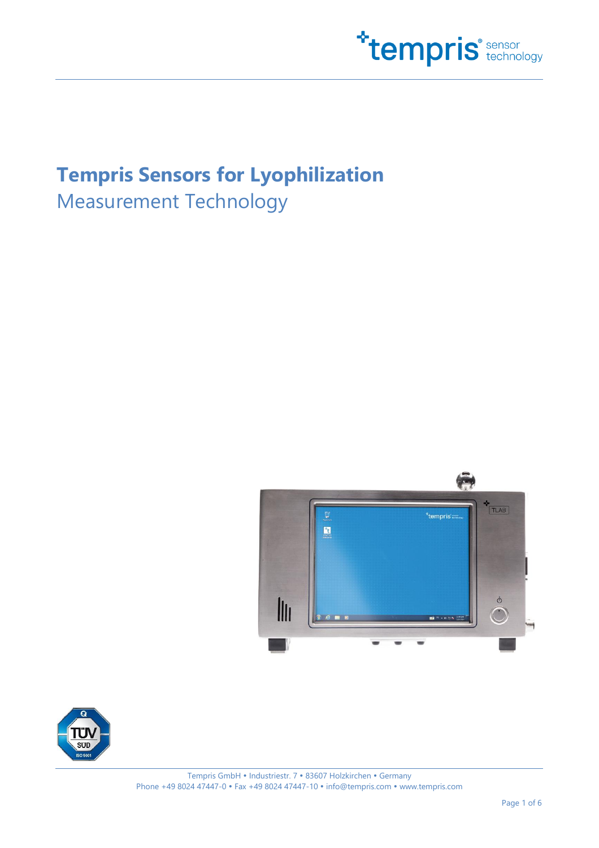

# **Tempris Sensors for Lyophilization**

Measurement Technology



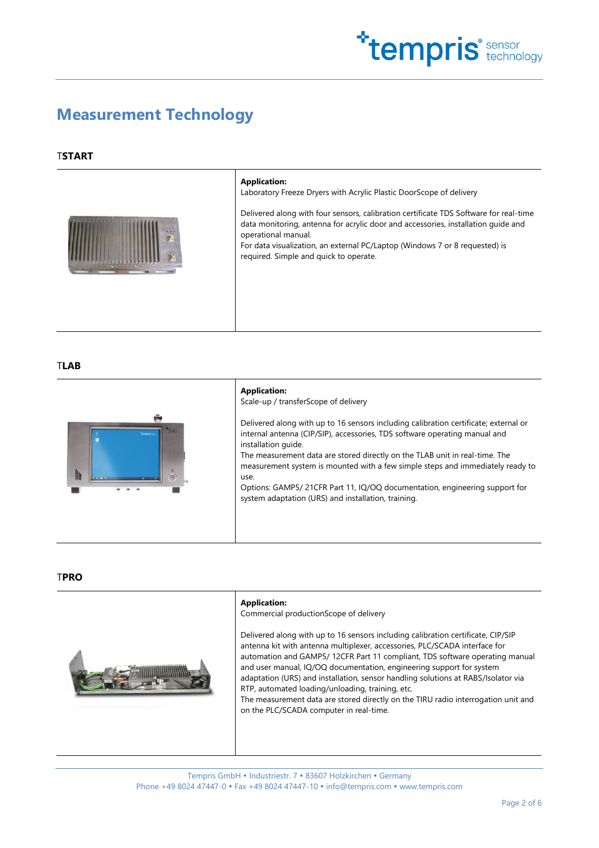

### **Measurement Technology**

### T**START**



#### **Application:**

Laboratory Freeze Dryers with Acrylic Plastic DoorScope of delivery

Delivered along with four sensors, calibration certificate TDS Software for real-time data monitoring, antenna for acrylic door and accessories, installation guide and operational manual. For data visualization, an external PC/Laptop (Windows 7 or 8 requested) is required. Simple and quick to operate.

T**LAB**



**Application:** Scale-up / transferScope of delivery Delivered along with up to 16 sensors including calibration certificate; external or internal antenna (CIP/SIP), accessories, TDS software operating manual and installation guide. The measurement data are stored directly on the TLAB unit in real-time. The measurement system is mounted with a few simple steps and immediately ready to use. Options: GAMP5/ 21CFR Part 11, IQ/OQ documentation, engineering support for system adaptation (URS) and installation, training.

#### T**PRO**



#### **Application:**

Commercial productionScope of delivery

Delivered along with up to 16 sensors including calibration certificate, CIP/SIP antenna kit with antenna multiplexer, accessories, PLC/SCADA interface for automation and GAMP5/ 12CFR Part 11 compliant, TDS software operating manual and user manual, IQ/OQ documentation, engineering support for system adaptation (URS) and installation, sensor handling solutions at RABS/Isolator via RTP, automated loading/unloading, training, etc.

The measurement data are stored directly on the TIRU radio interrogation unit and on the PLC/SCADA computer in real-time.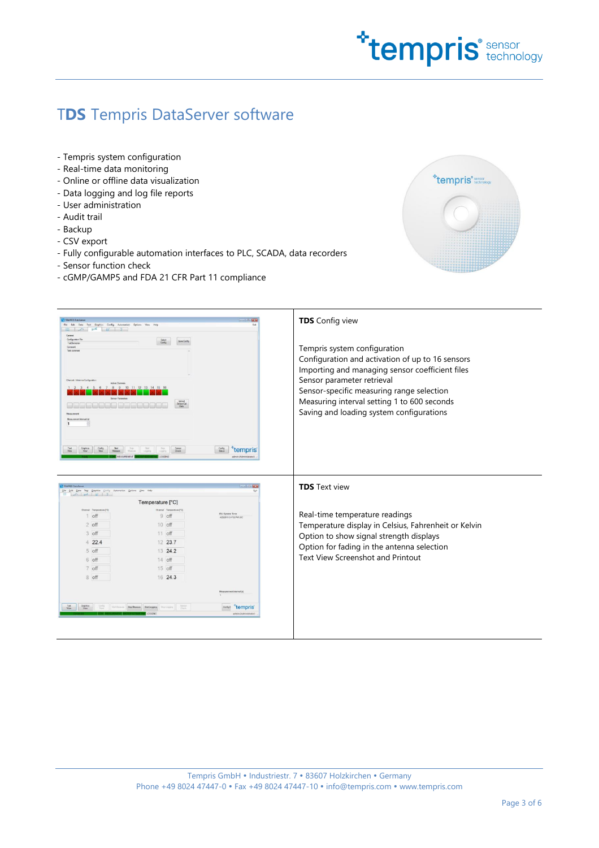

## T**DS** Tempris DataServer software

- Tempris system configuration
- Real-time data monitoring
- Online or offline data visualization
- Data logging and log file reports
- User administration
- Audit trail
- Backup
- CSV export
- Fully configurable automation interfaces to PLC, SCADA, data recorders
- Sensor function check
- cGMP/GAMP5 and FDA 21 CFR Part 11 compliance



| TTMD015 President                                           |                                                         |                                                    |                                                      |
|-------------------------------------------------------------|---------------------------------------------------------|----------------------------------------------------|------------------------------------------------------|
| File Edit Data Text Graphics Config Automation Options View | Help                                                    | Fuit                                               | <b>TDS</b> Config view                               |
| $E \rightarrow 96$ $R$ 2                                    |                                                         |                                                    |                                                      |
| General<br>Configuration Rie                                | Salad<br>Config<br>Save Config                          |                                                    |                                                      |
| Text Services<br>Cornert                                    |                                                         |                                                    |                                                      |
| Test comment                                                |                                                         |                                                    | Tempris system configuration                         |
|                                                             |                                                         |                                                    | Configuration and activation of up to 16 sensors     |
|                                                             |                                                         |                                                    |                                                      |
|                                                             |                                                         |                                                    | Importing and managing sensor coefficient files      |
| Channel / Arismna Configuration<br><b>Actue Channels</b>    |                                                         |                                                    | Sensor parameter retrieval                           |
| $\Lambda$                                                   | 8 9 10 11 12 13 14 15                                   |                                                    |                                                      |
|                                                             |                                                         |                                                    | Sensor-specific measuring range selection            |
|                                                             | Service Call<br>Data                                    |                                                    | Measuring interval setting 1 to 600 seconds          |
|                                                             |                                                         |                                                    |                                                      |
| <b>Maasimood</b><br>Mean present interval (d)               |                                                         |                                                    | Saving and loading system configurations             |
| п.                                                          |                                                         |                                                    |                                                      |
|                                                             |                                                         |                                                    |                                                      |
|                                                             |                                                         |                                                    |                                                      |
|                                                             |                                                         |                                                    |                                                      |
| <b>Ret</b><br>Heatare                                       | Sensor<br>Quest                                         | tempris                                            |                                                      |
|                                                             |                                                         | admin (Administrator)                              |                                                      |
|                                                             |                                                         |                                                    |                                                      |
|                                                             |                                                         |                                                    |                                                      |
|                                                             |                                                         |                                                    |                                                      |
|                                                             |                                                         |                                                    |                                                      |
|                                                             |                                                         | <b>Signal</b>                                      | <b>TDS</b> Text view                                 |
| Erit Data Test Graphics Coolig Automation Options Year Help |                                                         |                                                    |                                                      |
|                                                             | Temperature [°C]                                        |                                                    |                                                      |
| Chevrol Tennesters PCL                                      | Channel Temperstore [10]                                |                                                    |                                                      |
| 1 off                                                       | 9 off                                                   | <b>IRU System Time</b><br>4/20/2015 3:47 52 PM LOC | Real-time temperature readings                       |
| $2$ off                                                     | 10 off                                                  |                                                    |                                                      |
| 3 off                                                       | $11$ off                                                |                                                    | Temperature display in Celsius, Fahrenheit or Kelvin |
|                                                             |                                                         |                                                    | Option to show signal strength displays              |
| 422.4                                                       | 12 23.7                                                 |                                                    |                                                      |
| 5 off                                                       | 13 24.2                                                 |                                                    | Option for fading in the antenna selection           |
| 6 off                                                       | 14 off                                                  |                                                    | Text View Screenshot and Printout                    |
| 7 off                                                       | 15 off                                                  |                                                    |                                                      |
| 8 off                                                       | 16 24.3                                                 |                                                    |                                                      |
|                                                             |                                                         |                                                    |                                                      |
|                                                             |                                                         | Measurement interval is)                           |                                                      |
|                                                             |                                                         |                                                    |                                                      |
| Divilia.<br>Torne                                           | <b>Business</b> Coun<br>Institution DocHesser DotLegges | tempris                                            |                                                      |
|                                                             |                                                         | actmin (Administrator)                             |                                                      |
|                                                             |                                                         |                                                    |                                                      |
|                                                             |                                                         |                                                    |                                                      |
|                                                             |                                                         |                                                    |                                                      |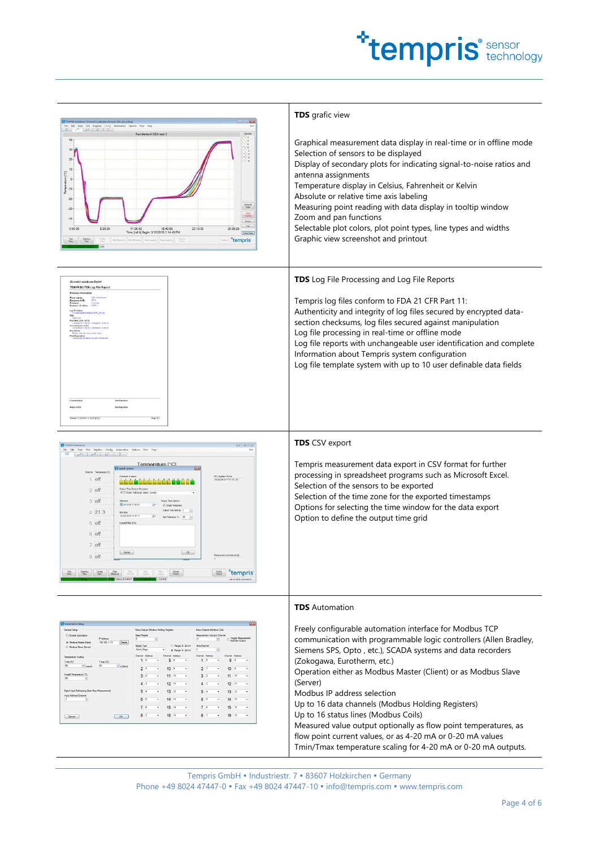

| TEMPES DataServer (Drihempris data)/lemifentanii GEA test 2dlog<br>File Edit Data Text Graphics Config Automation<br>$\mathbb{R}$ $\sim$ $\sim$ $\approx$ $\approx$ $\approx$ $\approx$ $\approx$ $\sim$<br>Remifentanii GEA test 2<br>$40 -$<br>$\frac{1}{2}$<br>$30 -$<br>$20 -$<br>10<br>E<br>ature [<br>$\circ$<br>$Time$<br>$-20$<br>Show All<br>Data<br>$-30$<br>$-40$<br>$Z$ com<br>Pan<br>0.00.00<br>5:33:20<br>11:06:40 16:40:00<br>Time [rel h] Begin: 3/10/2015 1:14:40 PM<br>22:13:20<br>28:39:25<br>Clear Date<br>Text<br>View<br>$\frac{C_{\rm max} - C_{\rm max}}{C_{\rm max}}$<br>Stattforces Stychlosom Statingpog Stylingpog<br>tempris<br>Graphics<br>View<br>Davig E.                                                | <b>TDS</b> grafic view<br>Graphical measurement data display in real-time or in offline mode<br>Selection of sensors to be displayed<br>Display of secondary plots for indicating signal-to-noise ratios and<br>antenna assignments<br>Temperature display in Celsius, Fahrenheit or Kelvin<br>Absolute or relative time axis labeling<br>Measuring point reading with data display in tooltip window<br>Zoom and pan functions<br>Selectable plot colors, plot point types, line types and widths<br>Graphic view screenshot and printout                                                                                                                    |
|------------------------------------------------------------------------------------------------------------------------------------------------------------------------------------------------------------------------------------------------------------------------------------------------------------------------------------------------------------------------------------------------------------------------------------------------------------------------------------------------------------------------------------------------------------------------------------------------------------------------------------------------------------------------------------------------------------------------------------------|---------------------------------------------------------------------------------------------------------------------------------------------------------------------------------------------------------------------------------------------------------------------------------------------------------------------------------------------------------------------------------------------------------------------------------------------------------------------------------------------------------------------------------------------------------------------------------------------------------------------------------------------------------------|
| <b>TEMPRIS® TDS Log File Report</b><br>Process Information<br>In Stat (LOC/UTC)<br>110229010.809<br>0.543.00V (1TC)<br>Pinkel 11020015 110217 (LOC<br>Page 13                                                                                                                                                                                                                                                                                                                                                                                                                                                                                                                                                                            | <b>TDS</b> Log File Processing and Log File Reports<br>Tempris log files conform to FDA 21 CFR Part 11:<br>Authenticity and integrity of log files secured by encrypted data-<br>section checksums, log files secured against manipulation<br>Log file processing in real-time or offline mode<br>Log file reports with unchangeable user identification and complete<br>Information about Tempris system configuration<br>Log file template system with up to 10 user definable data fields                                                                                                                                                                  |
| 0 12<br>Edit Data Text Griphics Config Automation Options View Help<br>Temperature [°C]<br><b>NT</b> back Optio<br>Channel Temperature [C]<br>IRU System Time<br>23/54/2013 17 17:17:LOC<br>1 off<br>Output Time Zone to Document<br>$2$ off<br>(UTC) Dublin, Edinburgh, Lisbon, Londo<br>3 off<br>Output Time Option<br>40,04/2015 12:16:07<br>7 Single Timestary<br>Culture Time Gost Int.<br>421.3<br>End time<br>23/04/2015 17:17:17<br>5 off<br>Loaded Files (Info)<br>6 off<br>7 off<br>$\omega$<br>Cancel<br>8 off<br>Test Graffics Cordig Stat Stat Lat Lat Senate<br>Men Man Mars Memory Numers (1997) Lagrang Double<br><b>Externe Tempris</b>                                                                                 | <b>TDS</b> CSV export<br>Tempris measurement data export in CSV format for further<br>processing in spreadsheet programs such as Microsoft Excel.<br>Selection of the sensors to be exported<br>Selection of the time zone for the exported timestamps<br>Options for selecting the time window for the data export<br>Option to define the output time grid                                                                                                                                                                                                                                                                                                  |
| General Setup<br>Satur Curry as Markus Cole<br>Value Cutsuts (Modbus Holding Register)<br><b>El Enable Automation</b><br><b>Base Regater</b><br><b>Measurement Indicator Channel</b><br>IP Address<br><b>B</b> Modous Master (Clert)<br>192.168.1.171<br>$Q$ eck<br>C Range 0-20 mA<br>Object Type<br>(C) Modous Street (Server)<br># Range: 4 - 20 mA<br>$ T $ nin $ T $<br>[7] Min T<br>$1 - 6460$<br>$+2000$<br>2 <sup>1</sup><br>10<br>$\overline{z}$<br>Invald Temperature [12]<br>3 <sup>2</sup><br>11<br>3:<br>4 <sup>2</sup><br>12<br>Digital Input Addressing (Start/Stop M<br>54<br>13<br>12<br>13<br><b>Input Address Channel</b><br>14<br>7 <sup>6</sup><br>15<br>14<br>15<br>87<br>16 15<br>87<br>16 15<br>$\sim$<br>Cancel | <b>TDS</b> Automation<br>Freely configurable automation interface for Modbus TCP<br>communication with programmable logic controllers (Allen Bradley,<br>Siemens SPS, Opto, etc.), SCADA systems and data recorders<br>(Zokogawa, Eurotherm, etc.)<br>Operation either as Modbus Master (Client) or as Modbus Slave<br>(Server)<br>Modbus IP address selection<br>Up to 16 data channels (Modbus Holding Registers)<br>Up to 16 status lines (Modbus Coils)<br>Measured value output optionally as flow point temperatures, as<br>flow point current values, or as 4-20 mA or 0-20 mA values<br>Tmin/Tmax temperature scaling for 4-20 mA or 0-20 mA outputs. |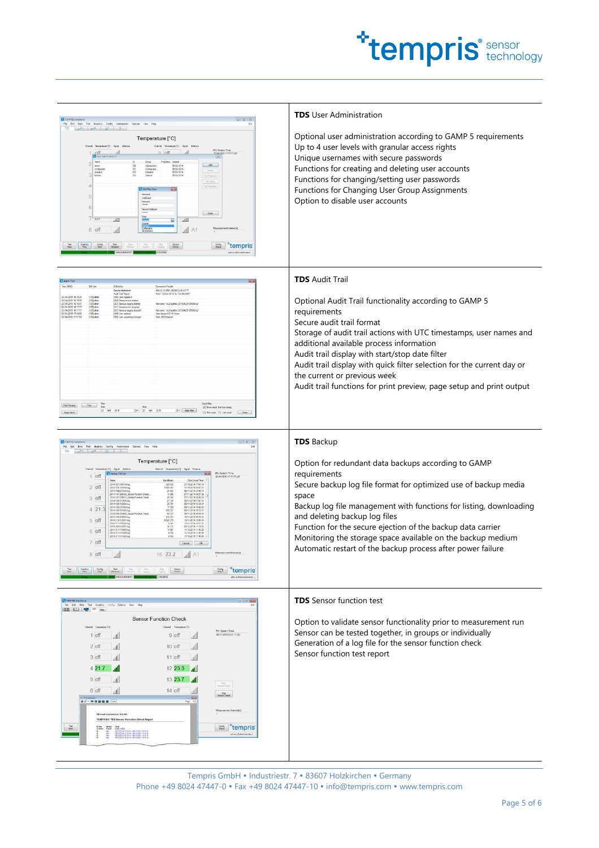